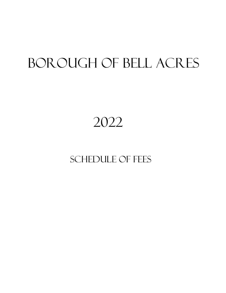# BOROUGH OF BELL ACRES

## 2022

### SCHEDULE OF FEES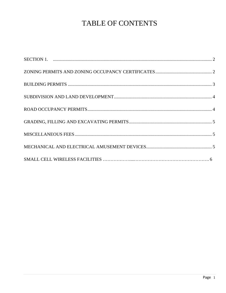### TABLE OF CONTENTS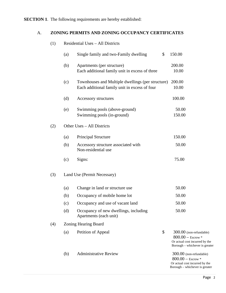#### **SECTION 1**. The following requirements are hereby established:

#### A. **ZONING PERMITS AND ZONING OCCUPANCY CERTIFICATES**

| (1) |     | Residential Uses - All Districts                                                                   |                                                                                                                           |
|-----|-----|----------------------------------------------------------------------------------------------------|---------------------------------------------------------------------------------------------------------------------------|
|     | (a) | \$<br>Single family and two-Family dwelling                                                        | 150.00                                                                                                                    |
|     | (b) | Apartments (per structure)<br>Each additional family unit in excess of three                       | 200.00<br>10.00                                                                                                           |
|     | (c) | Townhouses and Multiple dwellings (per structure)<br>Each additional family unit in excess of four | 200.00<br>10.00                                                                                                           |
|     | (d) | Accessory structures                                                                               | 100.00                                                                                                                    |
|     | (e) | Swimming pools (above-ground)<br>Swimming pools (in-ground)                                        | 50.00<br>150.00                                                                                                           |
| (2) |     | Other Uses - All Districts                                                                         |                                                                                                                           |
|     | (a) | <b>Principal Structure</b>                                                                         | 150.00                                                                                                                    |
|     | (b) | Accessory structure associated with<br>Non-residential use                                         | 50.00                                                                                                                     |
|     | (c) | Signs:                                                                                             | 75.00                                                                                                                     |
| (3) |     | Land Use (Permit Necessary)                                                                        |                                                                                                                           |
|     | (a) | Change in land or structure use                                                                    | 50.00                                                                                                                     |
|     | (b) | Occupancy of mobile home lot                                                                       | 50.00                                                                                                                     |
|     | (c) | Occupancy and use of vacant land                                                                   | 50.00                                                                                                                     |
|     | (d) | Occupancy of new dwellings, including<br>Apartments (each unit)                                    | 50.00                                                                                                                     |
| (4) |     | <b>Zoning Hearing Board</b>                                                                        |                                                                                                                           |
|     | (a) | \$<br>Petition of Appeal                                                                           | 300.00 (non-refundable)<br>$800.00 - \text{Escrow}$ *<br>Or actual cost incurred by the<br>Borough - whichever is greater |
|     | (b) | <b>Administrative Review</b>                                                                       | 300.00 (non-refundable)<br>$800.00 - \text{Escrow}$ *<br>Or actual cost incurred by the<br>Borough - whichever is greater |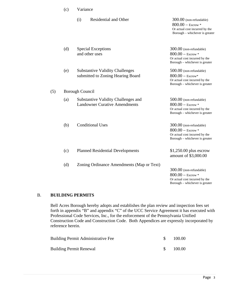|     | (c)                    | Variance                                                                    |                                                                                                                           |  |  |
|-----|------------------------|-----------------------------------------------------------------------------|---------------------------------------------------------------------------------------------------------------------------|--|--|
|     |                        | (i)<br><b>Residential and Other</b>                                         | 300.00 (non-refundable)<br>$800.00 -$ Escrow *<br>Or actual cost incurred by the<br>Borough – whichever is greater        |  |  |
|     | (d)                    | <b>Special Exceptions</b><br>and other uses                                 | 300.00 (non-refundable)<br>$800.00 -$ Escrow *<br>Or actual cost incurred by the<br>Borough - whichever is greater        |  |  |
|     | (e)                    | <b>Substantive Validity Challenges</b><br>submitted to Zoning Hearing Board | 500.00 (non-refundable)<br>$800.00 - \text{Escrow*}$<br>Or actual cost incurred by the<br>Borough – whichever is greater  |  |  |
| (5) | <b>Borough Council</b> |                                                                             |                                                                                                                           |  |  |
|     | (a)                    | Substantive Validity Challenges and<br><b>Landowner Curative Amendments</b> | 500.00 (non-refundable)<br>$800.00 -$ Escrow *<br>Or actual cost incurred by the<br>Borough – whichever is greater        |  |  |
|     | (b)                    | <b>Conditional Uses</b>                                                     | 300.00 (non-refundable)<br>$800.00 - \text{Escrow}$ *<br>Or actual cost incurred by the<br>Borough – whichever is greater |  |  |
|     | (c)                    | <b>Planned Residential Developments</b>                                     | $$1,250.00$ plus escrow<br>amount of \$3,000.00                                                                           |  |  |
|     | (d)                    | Zoning Ordinance Amendments (Map or Text)                                   | 300.00 (non-refundable)<br>$800.00 -$ Escrow *<br>Or actual cost incurred by the<br>Borough - whichever is greater        |  |  |

#### B. **BUILDING PERMITS**

Bell Acres Borough hereby adopts and establishes the plan review and inspection fees set forth in appendix "B" and appendix "C" of the UCC Service Agreement it has executed with Professional Code Services, Inc., for the enforcement of the Pennsylvania Unified Construction Code and Construction Code. Both Appendices are expressly incorporated by reference herein.

| <b>Building Permit Administrative Fee</b> | 100.00   |
|-------------------------------------------|----------|
| <b>Building Permit Renewal</b>            | - 100.00 |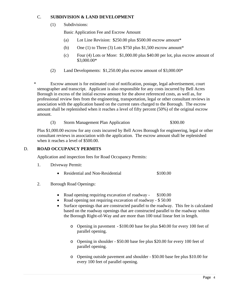#### C. **SUBDIVISION & LAND DEVELOPMENT**

(1) Subdivisions:

Basic Application Fee and Escrow Amount

- (a) Lot Line Revision: \$250.00 plus \$500.00 escrow amount\*
- (b) One (1) to Three (3) Lots  $$750$  plus  $$1,500$  escrow amount\*
- (c) Four (4) Lots or More: \$1,000.00 plus \$40.00 per lot, plus escrow amount of \$3,000.00\*
- (2) Land Developments: \$1,250.00 plus escrow amount of \$3,000.00\*

\* Escrow amount is for estimated cost of notification, postage, legal advertisement, court stenographer and transcript. Applicant is also responsible for any costs incurred by Bell Acres Borough in excess of the initial escrow amount for the above referenced costs, as well as, for professional review fees from the engineering, transportation, legal or other consultant reviews in association with the application based on the current rates charged to the Borough. The escrow amount shall be replenished when it reaches a level of fifty percent (50%) of the original escrow amount.

(3) Storm Management Plan Application  $$300.00$ 

Plus \$1,000.00 escrow for any costs incurred by Bell Acres Borough for engineering, legal or other consultant reviews in association with the application. The escrow amount shall be replenished when it reaches a level of \$500.00.

#### D. **ROAD OCCUPANCY PERMITS**

Application and inspection fees for Road Occupancy Permits:

- 1. Driveway Permit:
	- Residential and Non-Residential \$100.00
- 2. Borough Road Openings:
	- Road opening requiring excavation of roadway \$100.00
	- Road opening not requiring excavation of roadway \$50.00
	- Surface openings that are constructed parallel to the roadway. This fee is calculated based on the roadway openings that are constructed parallel to the roadway within the Borough Right-of-Way and are more than 100 total linear feet in length.
		- o Opening in pavement \$100.00 base fee plus \$40.00 for every 100 feet of parallel opening.
		- o Opening in shoulder \$50.00 base fee plus \$20.00 for every 100 feet of parallel opening.
		- o Opening outside pavement and shoulder \$50.00 base fee plus \$10.00 for every 100 feet of parallel opening.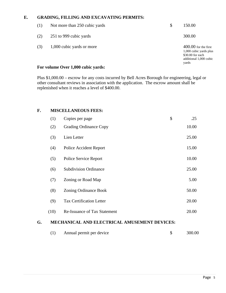#### **E. GRADING, FILLING AND EXCAVATING PERMITS:**

| (1) | Not more than 250 cubic yards | \$<br>150.00                                                                                            |
|-----|-------------------------------|---------------------------------------------------------------------------------------------------------|
| (2) | 251 to 999 cubic yards        | 300.00                                                                                                  |
| (3) | 1,000 cubic yards or more     | $400.00$ for the first<br>1,000 cubic yards plus<br>\$30.00 for each<br>additional 1,000 cubic<br>yards |

#### **For volume Over 1,000 cubic yards:**

Plus \$1,000.00 – escrow for any costs incurred by Bell Acres Borough for engineering, legal or other consultant reviews in association with the application. The escrow amount shall be replenished when it reaches a level of \$400.00.

#### **F. MISCELLANEOUS FEES:**

|    | (1)  | Copies per page                                     | \$<br>.25 |
|----|------|-----------------------------------------------------|-----------|
|    | (2)  | <b>Grading Ordinance Copy</b>                       | 10.00     |
|    | (3)  | Lien Letter                                         | 25.00     |
|    | (4)  | Police Accident Report                              | 15.00     |
|    | (5)  | <b>Police Service Report</b>                        | 10.00     |
|    | (6)  | <b>Subdivision Ordinance</b>                        | 25.00     |
|    | (7)  | Zoning or Road Map                                  | 5.00      |
|    | (8)  | <b>Zoning Ordinance Book</b>                        | 50.00     |
|    | (9)  | <b>Tax Certification Letter</b>                     | 20.00     |
|    | (10) | Re-Issuance of Tax Statement                        | 20.00     |
| G. |      | <b>MECHANICAL AND ELECTRICAL AMUSEMENT DEVICES:</b> |           |

(1) Annual permit per device \$ 300.00